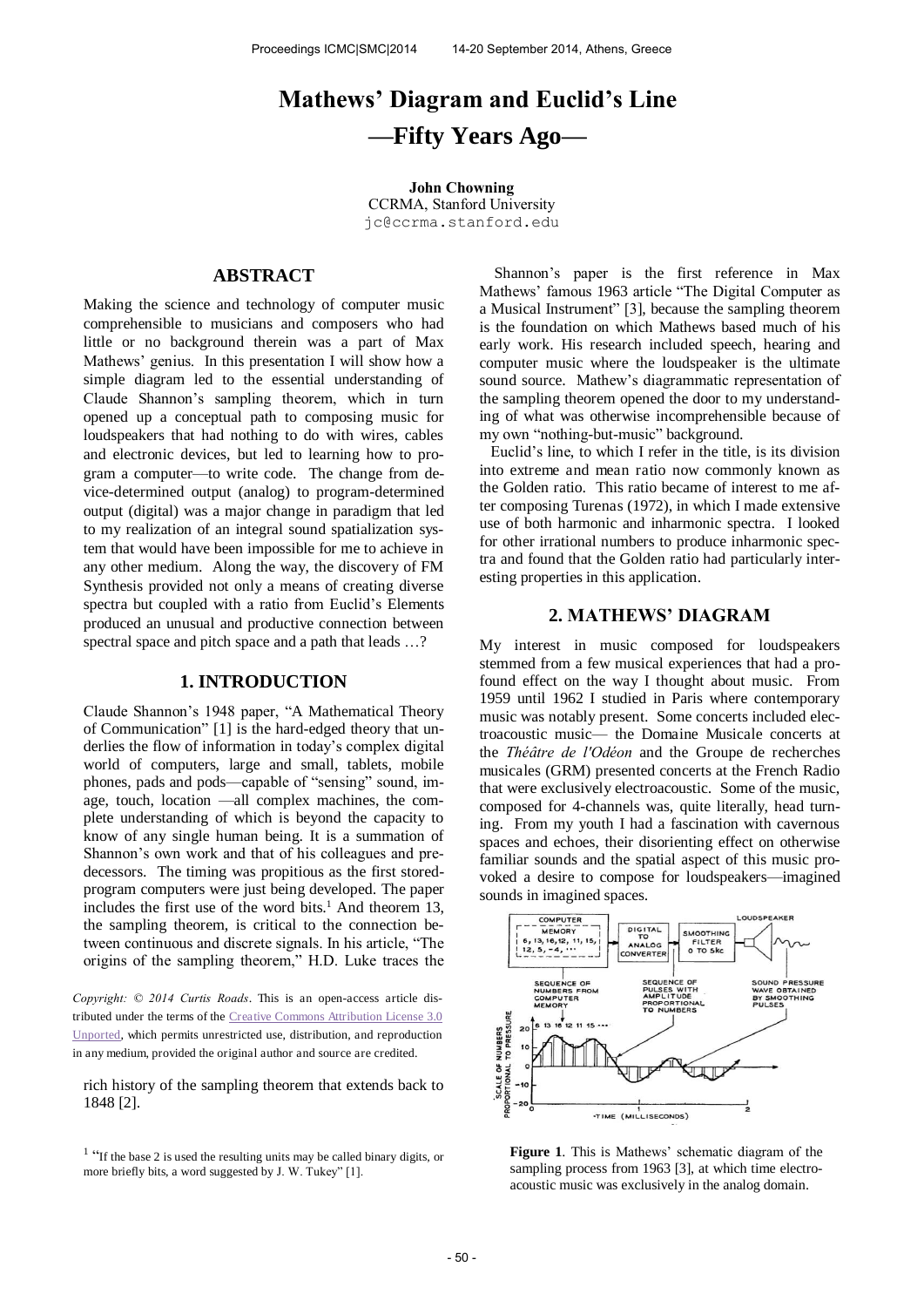# **Mathews' Diagram and Euclid's Line —Fifty Years Ago—**

**John Chowning**  CCRMA, Stanford University [jc@ccrma.stanford.edu](mailto:author1@smcnetwork.org?subject=SMC%202010%20paper)

## **ABSTRACT**

Making the science and technology of computer music comprehensible to musicians and composers who had little or no background therein was a part of Max Mathews' genius. In this presentation I will show how a simple diagram led to the essential understanding of Claude Shannon's sampling theorem, which in turn opened up a conceptual path to composing music for loudspeakers that had nothing to do with wires, cables and electronic devices, but led to learning how to program a computer—to write code. The change from device-determined output (analog) to program-determined output (digital) was a major change in paradigm that led to my realization of an integral sound spatialization system that would have been impossible for me to achieve in any other medium. Along the way, the discovery of FM Synthesis provided not only a means of creating diverse spectra but coupled with a ratio from Euclid's Elements produced an unusual and productive connection between spectral space and pitch space and a path that leads …?

#### **1. INTRODUCTION**

Claude Shannon's 1948 paper, "A Mathematical Theory of Communication" [1] is the hard-edged theory that underlies the flow of information in today's complex digital world of computers, large and small, tablets, mobile phones, pads and pods—capable of "sensing" sound, image, touch, location —all complex machines, the complete understanding of which is beyond the capacity to know of any single human being. It is a summation of Shannon's own work and that of his colleagues and predecessors. The timing was propitious as the first storedprogram computers were just being developed. The paper includes the first use of the word bits.<sup>1</sup> And theorem 13, the sampling theorem, is critical to the connection between continuous and discrete signals. In his article, "The origins of the sampling theorem," H.D. Luke traces the

*Copyright: © 2014 Curtis Roads*. This is an open-access article distributed under the terms of th[e Creative Commons Attribution License 3.0](http://creativecommons.org/licenses/by/3.0/)  [Unported,](http://creativecommons.org/licenses/by/3.0/) which permits unrestricted use, distribution, and reproduction in any medium, provided the original author and source are credited.

rich history of the sampling theorem that extends back to 1848 [2].

 Shannon's paper is the first reference in Max Mathews' famous 1963 article "The Digital Computer as a Musical Instrument" [3], because the sampling theorem is the foundation on which Mathews based much of his early work. His research included speech, hearing and computer music where the loudspeaker is the ultimate sound source. Mathew's diagrammatic representation of the sampling theorem opened the door to my understanding of what was otherwise incomprehensible because of my own "nothing-but-music" background.

Euclid's line, to which I refer in the title, is its division into extreme and mean ratio now commonly known as the Golden ratio. This ratio became of interest to me after composing Turenas (1972), in which I made extensive use of both harmonic and inharmonic spectra. I looked for other irrational numbers to produce inharmonic spectra and found that the Golden ratio had particularly interesting properties in this application.

#### **2. MATHEWS' DIAGRAM**

My interest in music composed for loudspeakers stemmed from a few musical experiences that had a profound effect on the way I thought about music. From 1959 until 1962 I studied in Paris where contemporary music was notably present. Some concerts included electroacoustic music— the Domaine Musicale concerts at the *Théâtre de l'Odéon* and the Groupe de recherches musicales (GRM) presented concerts at the French Radio that were exclusively electroacoustic. Some of the music, composed for 4-channels was, quite literally, head turning. From my youth I had a fascination with cavernous spaces and echoes, their disorienting effect on otherwise familiar sounds and the spatial aspect of this music provoked a desire to compose for loudspeakers—imagined sounds in imagined spaces.



**Figure 1**. This is Mathews' schematic diagram of the sampling process from 1963 [3], at which time electroacoustic music was exclusively in the analog domain.

<sup>&</sup>lt;sup>1</sup> "If the base 2 is used the resulting units may be called binary digits, or more briefly bits, a word suggested by J. W. Tukey" [1].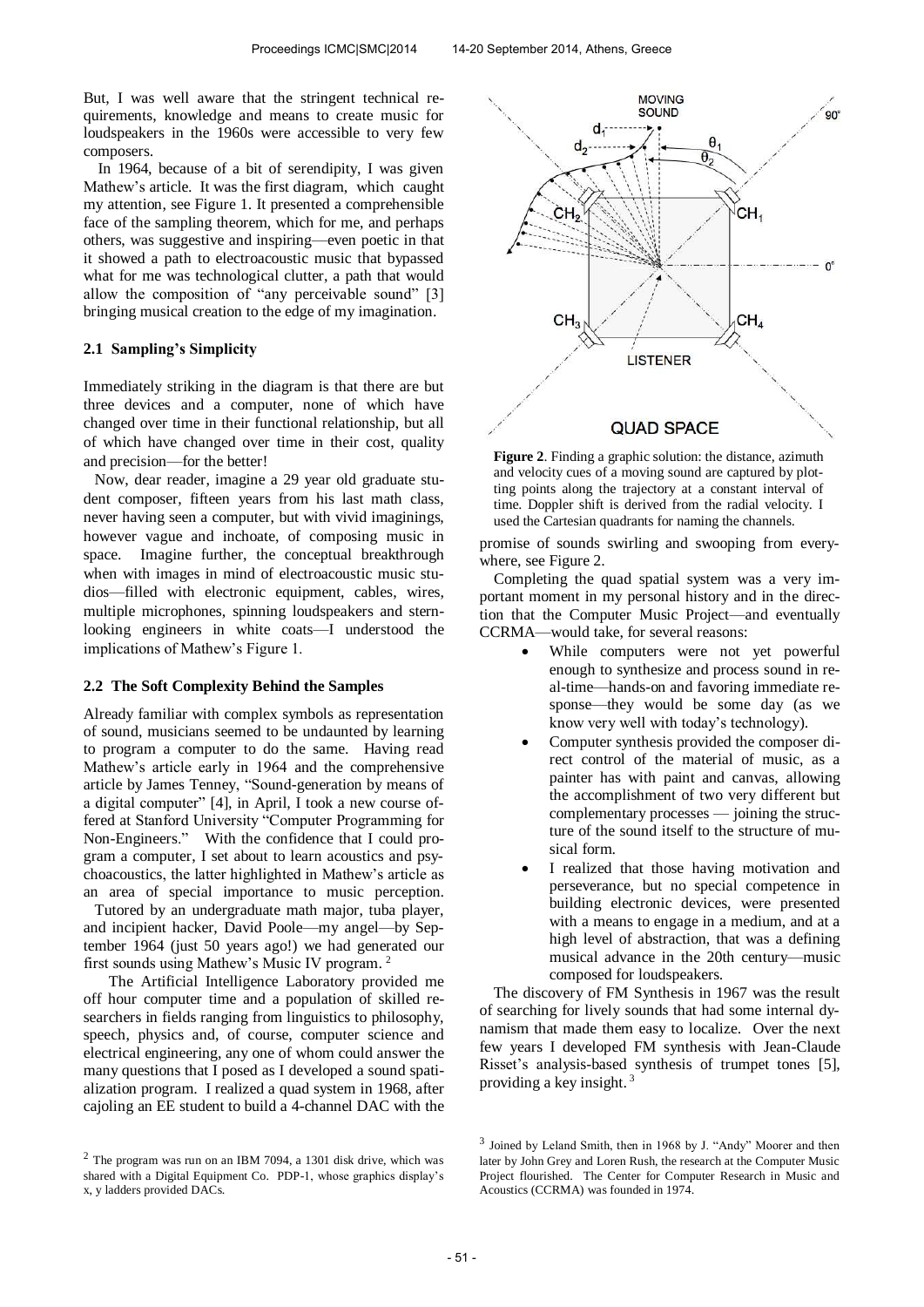But, I was well aware that the stringent technical requirements, knowledge and means to create music for loudspeakers in the 1960s were accessible to very few composers.

In 1964, because of a bit of serendipity, I was given Mathew's article. It was the first diagram, which caught my attention, see Figure 1. It presented a comprehensible face of the sampling theorem, which for me, and perhaps others, was suggestive and inspiring—even poetic in that it showed a path to electroacoustic music that bypassed what for me was technological clutter, a path that would allow the composition of "any perceivable sound" [3] bringing musical creation to the edge of my imagination.

#### **2.1 Sampling's Simplicity**

Immediately striking in the diagram is that there are but three devices and a computer, none of which have changed over time in their functional relationship, but all of which have changed over time in their cost, quality and precision—for the better!

 Now, dear reader, imagine a 29 year old graduate student composer, fifteen years from his last math class, never having seen a computer, but with vivid imaginings, however vague and inchoate, of composing music in space. Imagine further, the conceptual breakthrough when with images in mind of electroacoustic music studios—filled with electronic equipment, cables, wires, multiple microphones, spinning loudspeakers and sternlooking engineers in white coats—I understood the implications of Mathew's Figure 1.

#### **2.2 The Soft Complexity Behind the Samples**

Already familiar with complex symbols as representation of sound, musicians seemed to be undaunted by learning to program a computer to do the same. Having read Mathew's article early in 1964 and the comprehensive article by James Tenney, "Sound-generation by means of a digital computer" [4], in April, I took a new course offered at Stanford University "Computer Programming for Non-Engineers." With the confidence that I could program a computer, I set about to learn acoustics and psychoacoustics, the latter highlighted in Mathew's article as an area of special importance to music perception.

 Tutored by an undergraduate math major, tuba player, and incipient hacker, David Poole—my angel—by September 1964 (just 50 years ago!) we had generated our first sounds using Mathew's Music IV program. 2

 The Artificial Intelligence Laboratory provided me off hour computer time and a population of skilled researchers in fields ranging from linguistics to philosophy, speech, physics and, of course, computer science and electrical engineering, any one of whom could answer the many questions that I posed as I developed a sound spatialization program. I realized a quad system in 1968, after cajoling an EE student to build a 4-channel DAC with the





**Figure 2**. Finding a graphic solution: the distance, azimuth and velocity cues of a moving sound are captured by plotting points along the trajectory at a constant interval of time. Doppler shift is derived from the radial velocity. I used the Cartesian quadrants for naming the channels.

promise of sounds swirling and swooping from everywhere, see Figure 2.

Completing the quad spatial system was a very important moment in my personal history and in the direction that the Computer Music Project—and eventually CCRMA—would take, for several reasons:

- While computers were not yet powerful enough to synthesize and process sound in real-time—hands-on and favoring immediate response—they would be some day (as we know very well with today's technology).
- Computer synthesis provided the composer direct control of the material of music, as a painter has with paint and canvas, allowing the accomplishment of two very different but complementary processes — joining the structure of the sound itself to the structure of musical form.
- I realized that those having motivation and perseverance, but no special competence in building electronic devices, were presented with a means to engage in a medium, and at a high level of abstraction, that was a defining musical advance in the 20th century—music composed for loudspeakers.

The discovery of FM Synthesis in 1967 was the result of searching for lively sounds that had some internal dynamism that made them easy to localize. Over the next few years I developed FM synthesis with Jean-Claude Risset's analysis-based synthesis of trumpet tones [5], providing a key insight.  $3$ 

<sup>3</sup> Joined by Leland Smith, then in 1968 by J. "Andy" Moorer and then later by John Grey and Loren Rush, the research at the Computer Music Project flourished. The Center for Computer Research in Music and Acoustics (CCRMA) was founded in 1974.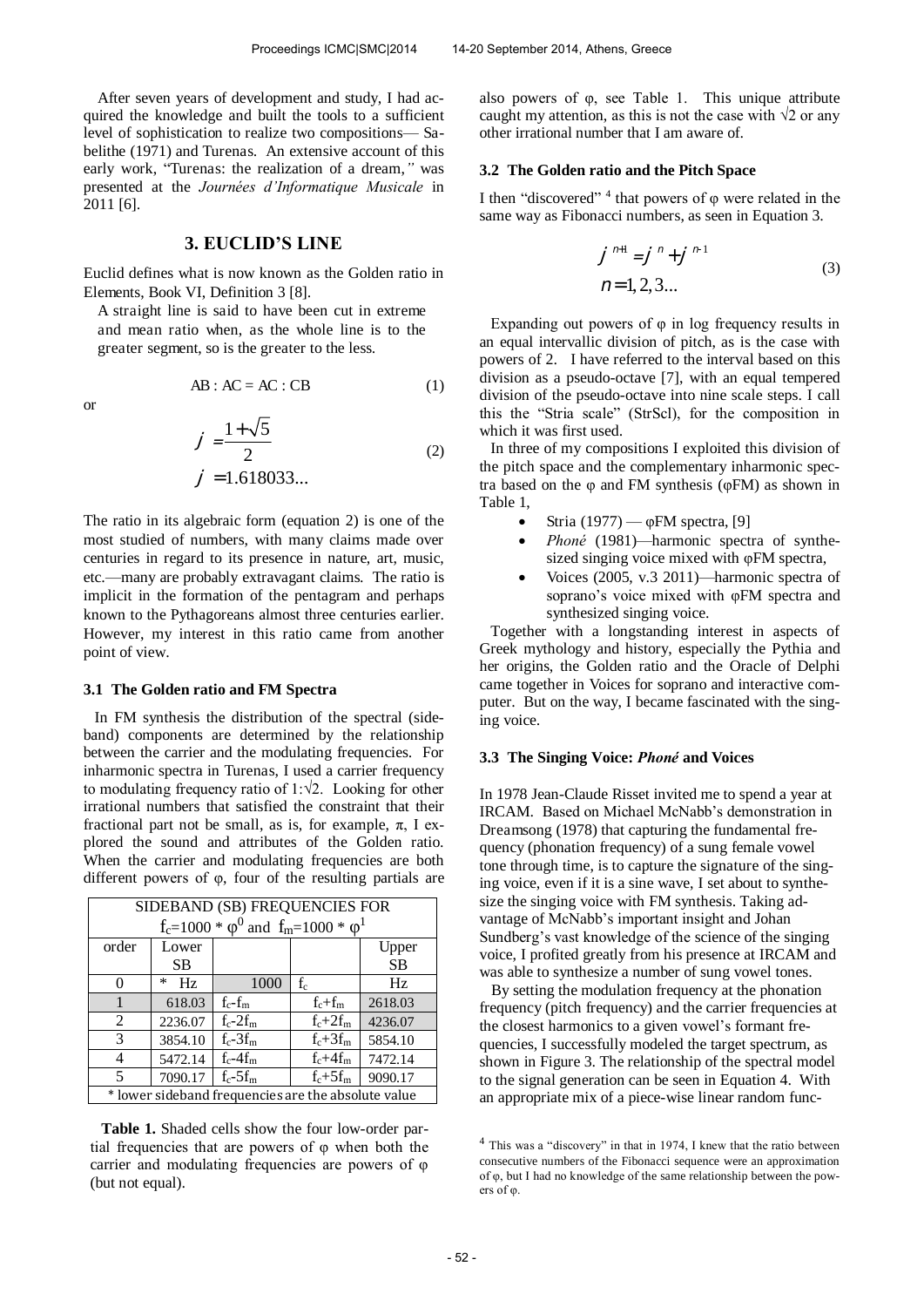(2)

After seven years of development and study, I had acquired the knowledge and built the tools to a sufficient level of sophistication to realize two compositions— Sabelithe (1971) and Turenas. An extensive account of this early work, "Turenas: the realization of a dream,*"* was presented at the *Journées d'Informatique Musicale* in 2011 [6].

#### **3. EUCLID'S LINE**

Euclid defines what is now known as the Golden ratio in Elements, Book VI, Definition 3 [8].

A straight line is said to have been cut in extreme and mean ratio when, as the whole line is to the greater segment, so is the greater to the less.

$$
\quad \text{or} \quad
$$

$$
AB:AC = AC:CB
$$
 (1)

$$
=\frac{1+\sqrt{5}}{2}
$$

$$
= 1.618033...
$$

The ratio in its algebraic form (equation 2) is one of the most studied of numbers, with many claims made over centuries in regard to its presence in nature, art, music, etc.—many are probably extravagant claims. The ratio is implicit in the formation of the pentagram and perhaps known to the Pythagoreans almost three centuries earlier. However, my interest in this ratio came from another point of view.

## **3.1 The Golden ratio and FM Spectra**

In FM synthesis the distribution of the spectral (sideband) components are determined by the relationship between the carrier and the modulating frequencies. For inharmonic spectra in Turenas, I used a carrier frequency to modulating frequency ratio of 1:√2. Looking for other irrational numbers that satisfied the constraint that their fractional part not be small, as is, for example,  $\pi$ , I explored the sound and attributes of the Golden ratio. When the carrier and modulating frequencies are both different powers of φ, four of the resulting partials are

| SIDEBAND (SB) FREQUENCIES FOR                       |              |             |              |           |
|-----------------------------------------------------|--------------|-------------|--------------|-----------|
| $f_c = 1000 * \phi^0$ and $f_m = 1000 * \phi^1$     |              |             |              |           |
| order                                               | Lower        |             |              | Upper     |
|                                                     | <b>SB</b>    |             |              | <b>SB</b> |
| 0                                                   | $\ast$<br>Hz | 1000        | $f_c$        | Hz        |
|                                                     | 618.03       | $f_c - f_m$ | $f_c + f_m$  | 2618.03   |
| 2                                                   | 2236.07      | $f_c-2f_m$  | $f_c + 2f_m$ | 4236.07   |
| 3                                                   | 3854.10      | $f_c-3f_m$  | $f_c + 3f_m$ | 5854.10   |
| 4                                                   | 5472.14      | $f_c-4f_m$  | $f_c + 4f_m$ | 7472.14   |
| 5                                                   | 7090.17      | $f_c-5f_m$  | $f_c + 5f_m$ | 9090.17   |
| * lower sideband frequencies are the absolute value |              |             |              |           |

**Table 1.** Shaded cells show the four low-order partial frequencies that are powers of φ when both the carrier and modulating frequencies are powers of φ (but not equal).

also powers of  $\varphi$ , see Table 1. This unique attribute caught my attention, as this is not the case with  $\sqrt{2}$  or any other irrational number that I am aware of.

#### **3.2 The Golden ratio and the Pitch Space**

I then "discovered"<sup>4</sup> that powers of φ were related in the same way as Fibonacci numbers, as seen in Equation 3.

$$
n=1, 2, 3...
$$
\n
$$
n=1, 2, 3...
$$
\n(3)

Expanding out powers of  $\varphi$  in log frequency results in an equal intervallic division of pitch, as is the case with powers of 2. I have referred to the interval based on this division as a pseudo-octave [7], with an equal tempered division of the pseudo-octave into nine scale steps. I call this the "Stria scale" (StrScl), for the composition in which it was first used.

In three of my compositions I exploited this division of the pitch space and the complementary inharmonic spectra based on the φ and FM synthesis (φFM) as shown in Table 1,

- Stria (1977) φFM spectra, [9]
- *Phoné* (1981)—harmonic spectra of synthesized singing voice mixed with φFM spectra,
- Voices (2005, v.3 2011)—harmonic spectra of soprano's voice mixed with φFM spectra and synthesized singing voice.

Together with a longstanding interest in aspects of Greek mythology and history, especially the Pythia and her origins, the Golden ratio and the Oracle of Delphi came together in Voices for soprano and interactive computer. But on the way, I became fascinated with the singing voice.

#### **3.3 The Singing Voice:** *Phoné* **and Voices**

In 1978 Jean-Claude Risset invited me to spend a year at IRCAM. Based on Michael McNabb's demonstration in Dreamsong (1978) that capturing the fundamental frequency (phonation frequency) of a sung female vowel tone through time, is to capture the signature of the singing voice, even if it is a sine wave, I set about to synthesize the singing voice with FM synthesis. Taking advantage of McNabb's important insight and Johan Sundberg's vast knowledge of the science of the singing voice, I profited greatly from his presence at IRCAM and was able to synthesize a number of sung vowel tones.

 By setting the modulation frequency at the phonation frequency (pitch frequency) and the carrier frequencies at the closest harmonics to a given vowel's formant frequencies, I successfully modeled the target spectrum, as shown in Figure 3. The relationship of the spectral model to the signal generation can be seen in Equation 4. With an appropriate mix of a piece-wise linear random func-

<sup>4</sup> This was a "discovery" in that in 1974, I knew that the ratio between consecutive numbers of the Fibonacci sequence were an approximation of φ, but I had no knowledge of the same relationship between the powers of φ.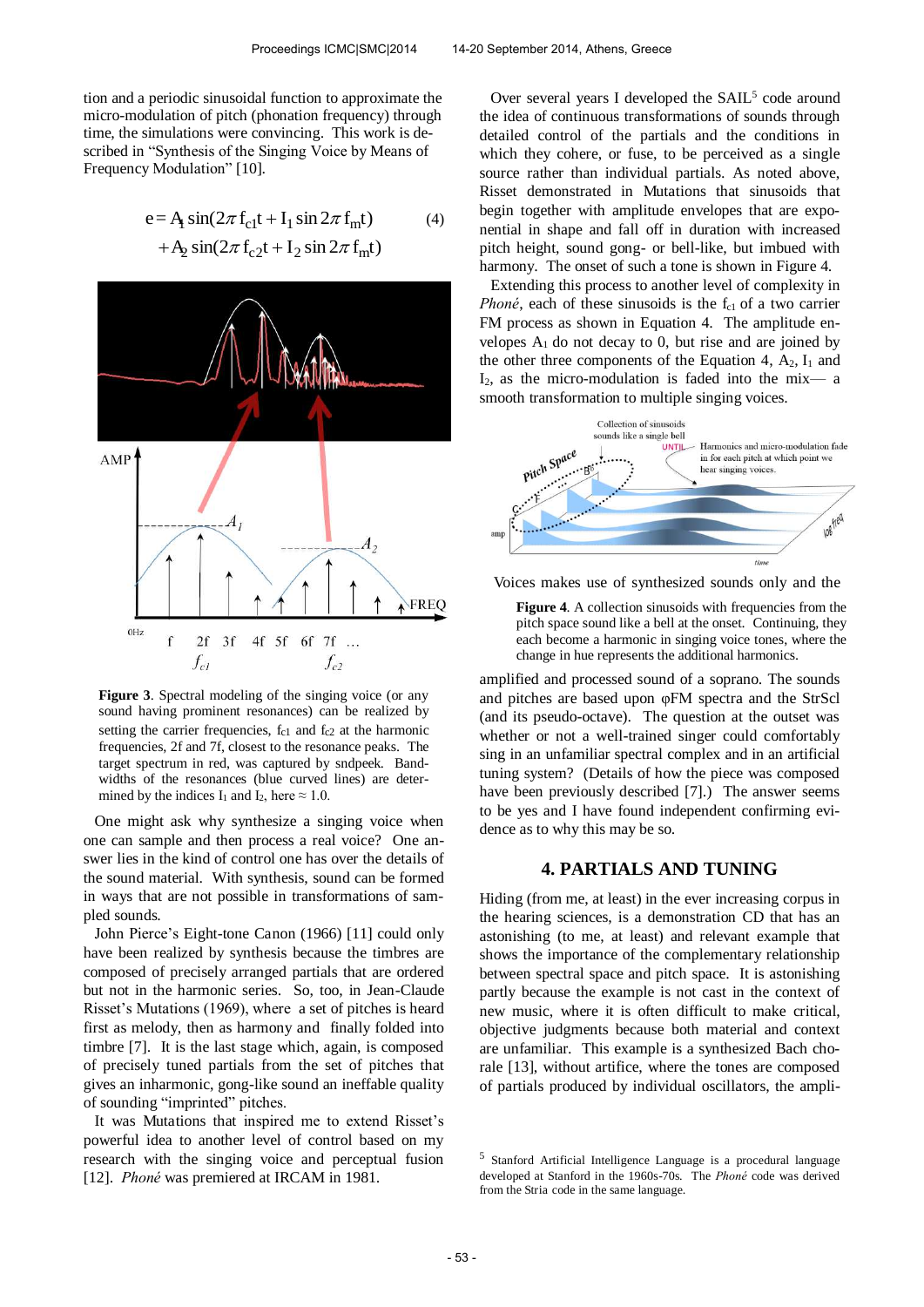tion and a periodic sinusoidal function to approximate the micro-modulation of pitch (phonation frequency) through time, the simulations were convincing. This work is described in "Synthesis of the Singing Voice by Means of Frequency Modulation" [10].

$$
e = A \sin(2\pi f_{c1}t + I_1 \sin 2\pi f_{m}t)
$$
  
+
$$
A_2 \sin(2\pi f_{c2}t + I_2 \sin 2\pi f_{m}t)
$$
 (4)



**Figure 3**. Spectral modeling of the singing voice (or any sound having prominent resonances) can be realized by setting the carrier frequencies,  $f_{c1}$  and  $f_{c2}$  at the harmonic frequencies, 2f and 7f, closest to the resonance peaks. The target spectrum in red, was captured by sndpeek. Bandwidths of the resonances (blue curved lines) are determined by the indices I<sub>1</sub> and I<sub>2</sub>, here  $\approx 1.0$ .

One might ask why synthesize a singing voice when one can sample and then process a real voice? One answer lies in the kind of control one has over the details of the sound material. With synthesis, sound can be formed in ways that are not possible in transformations of sampled sounds.

John Pierce's Eight-tone Canon (1966) [11] could only have been realized by synthesis because the timbres are composed of precisely arranged partials that are ordered but not in the harmonic series. So, too, in Jean-Claude Risset's Mutations (1969), where a set of pitches is heard first as melody, then as harmony and finally folded into timbre [7]. It is the last stage which, again, is composed of precisely tuned partials from the set of pitches that gives an inharmonic, gong-like sound an ineffable quality of sounding "imprinted" pitches.

It was Mutations that inspired me to extend Risset's powerful idea to another level of control based on my research with the singing voice and perceptual fusion [12]. *Phoné* was premiered at IRCAM in 1981.

Over several years I developed the SAIL<sup>5</sup> code around the idea of continuous transformations of sounds through detailed control of the partials and the conditions in which they cohere, or fuse, to be perceived as a single source rather than individual partials. As noted above, Risset demonstrated in Mutations that sinusoids that begin together with amplitude envelopes that are exponential in shape and fall off in duration with increased pitch height, sound gong- or bell-like, but imbued with harmony. The onset of such a tone is shown in Figure 4.

Extending this process to another level of complexity in *Phoné*, each of these sinusoids is the  $f_{c1}$  of a two carrier FM process as shown in Equation 4. The amplitude envelopes  $A_1$  do not decay to 0, but rise and are joined by the other three components of the Equation 4,  $A_2$ ,  $I_1$  and  $I_2$ , as the micro-modulation is faded into the mix-a smooth transformation to multiple singing voices.



Voices makes use of synthesized sounds only and the

Figure 4. A collection sinusoids with frequencies from the pitch space sound like a bell at the onset. Continuing, they each become a harmonic in singing voice tones, where the change in hue represents the additional harmonics.

amplified and processed sound of a soprano. The sounds and pitches are based upon φFM spectra and the StrScl (and its pseudo-octave). The question at the outset was whether or not a well-trained singer could comfortably sing in an unfamiliar spectral complex and in an artificial tuning system? (Details of how the piece was composed have been previously described [7].) The answer seems to be yes and I have found independent confirming evidence as to why this may be so.

#### **4. PARTIALS AND TUNING**

Hiding (from me, at least) in the ever increasing corpus in the hearing sciences, is a demonstration CD that has an astonishing (to me, at least) and relevant example that shows the importance of the complementary relationship between spectral space and pitch space. It is astonishing partly because the example is not cast in the context of new music, where it is often difficult to make critical, objective judgments because both material and context are unfamiliar. This example is a synthesized Bach chorale [13], without artifice, where the tones are composed of partials produced by individual oscillators, the ampli-

<sup>5</sup> Stanford Artificial Intelligence Language is a procedural language developed at Stanford in the 1960s-70s. The *Phoné* code was derived from the Stria code in the same language.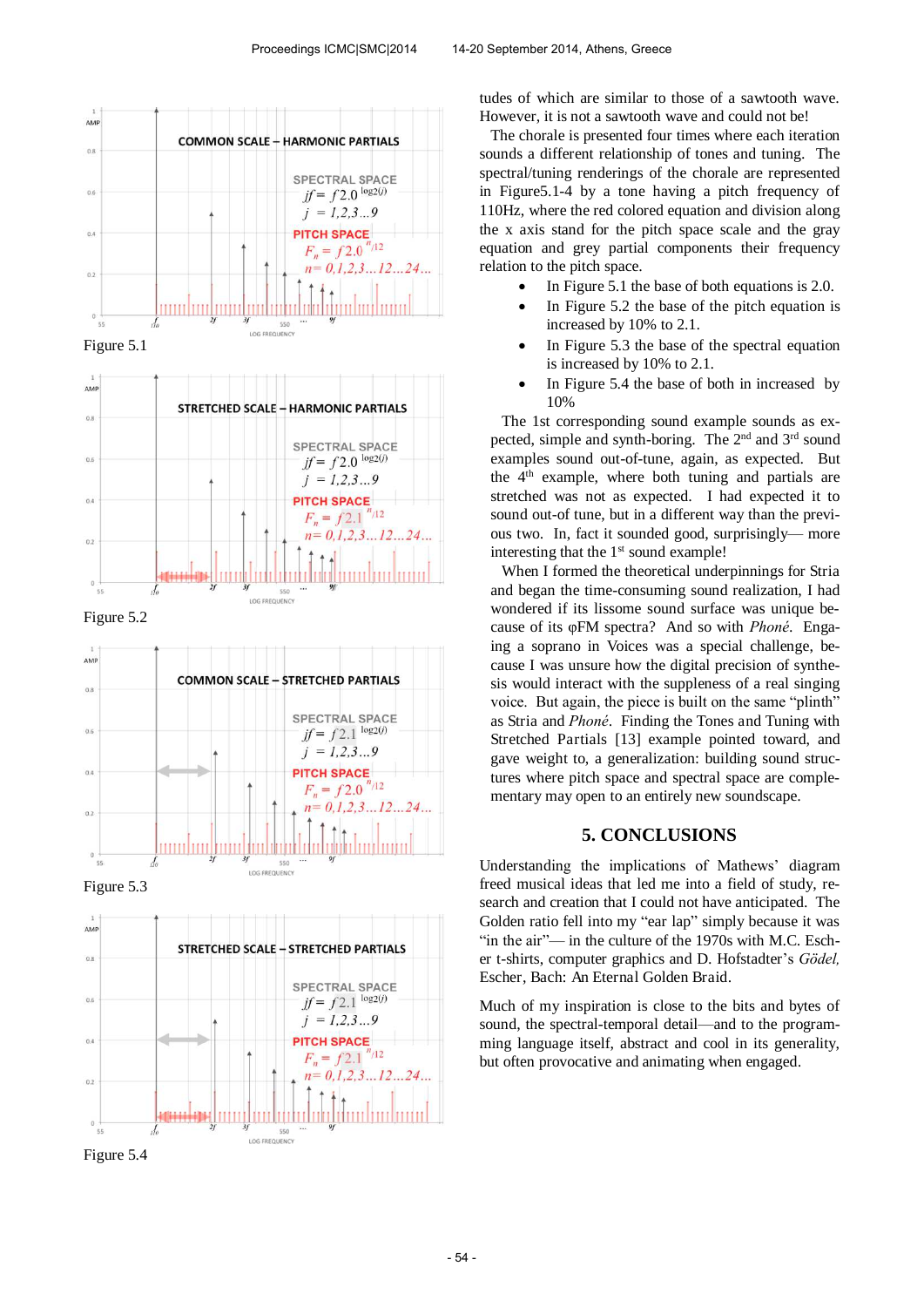

Figure 5.1



Figure 5.2



Figure 5.3



tudes of which are similar to those of a sawtooth wave. However, it is not a sawtooth wave and could not be!

The chorale is presented four times where each iteration sounds a different relationship of tones and tuning. The spectral/tuning renderings of the chorale are represented in Figure5.1-4 by a tone having a pitch frequency of 110Hz, where the red colored equation and division along the x axis stand for the pitch space scale and the gray equation and grey partial components their frequency relation to the pitch space.

- In Figure 5.1 the base of both equations is 2.0.
- In Figure 5.2 the base of the pitch equation is increased by 10% to 2.1.
- In Figure 5.3 the base of the spectral equation is increased by 10% to 2.1.
- In Figure 5.4 the base of both in increased by 10%

The 1st corresponding sound example sounds as expected, simple and synth-boring. The  $2<sup>nd</sup>$  and  $3<sup>rd</sup>$  sound examples sound out-of-tune, again, as expected. But the 4<sup>th</sup> example, where both tuning and partials are stretched was not as expected. I had expected it to sound out-of tune, but in a different way than the previous two. In, fact it sounded good, surprisingly— more interesting that the  $1<sup>st</sup>$  sound example!

When I formed the theoretical underpinnings for Stria and began the time-consuming sound realization, I had wondered if its lissome sound surface was unique because of its φFM spectra? And so with *Phoné*. Engaing a soprano in Voices was a special challenge, because I was unsure how the digital precision of synthesis would interact with the suppleness of a real singing voice. But again, the piece is built on the same "plinth" as Stria and *Phoné*. Finding the Tones and Tuning with Stretched Partials [13] example pointed toward, and gave weight to, a generalization: building sound structures where pitch space and spectral space are complementary may open to an entirely new soundscape.

## **5. CONCLUSIONS**

Understanding the implications of Mathews' diagram freed musical ideas that led me into a field of study, research and creation that I could not have anticipated. The Golden ratio fell into my "ear lap" simply because it was "in the air"— in the culture of the 1970s with M.C. Escher t-shirts, computer graphics and D. Hofstadter's *Gödel,*  Escher, Bach: An Eternal Golden Braid.

Much of my inspiration is close to the bits and bytes of sound, the spectral-temporal detail—and to the programming language itself, abstract and cool in its generality, but often provocative and animating when engaged.